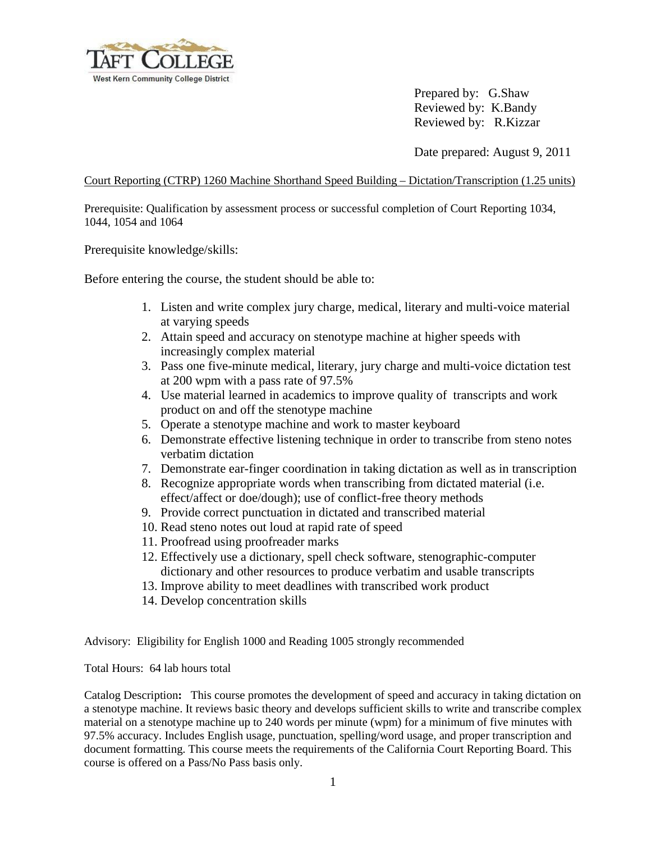

Prepared by: G.Shaw Reviewed by: K.Bandy Reviewed by: R.Kizzar

Date prepared: August 9, 2011

Court Reporting (CTRP) 1260 Machine Shorthand Speed Building – Dictation/Transcription (1.25 units)

Prerequisite: Qualification by assessment process or successful completion of Court Reporting 1034, 1044, 1054 and 1064

Prerequisite knowledge/skills:

Before entering the course, the student should be able to:

- 1. Listen and write complex jury charge, medical, literary and multi-voice material at varying speeds
- 2. Attain speed and accuracy on stenotype machine at higher speeds with increasingly complex material
- 3. Pass one five-minute medical, literary, jury charge and multi-voice dictation test at 200 wpm with a pass rate of 97.5%
- 4. Use material learned in academics to improve quality of transcripts and work product on and off the stenotype machine
- 5. Operate a stenotype machine and work to master keyboard
- 6. Demonstrate effective listening technique in order to transcribe from steno notes verbatim dictation
- 7. Demonstrate ear-finger coordination in taking dictation as well as in transcription
- 8. Recognize appropriate words when transcribing from dictated material (i.e. effect/affect or doe/dough); use of conflict-free theory methods
- 9. Provide correct punctuation in dictated and transcribed material
- 10. Read steno notes out loud at rapid rate of speed
- 11. Proofread using proofreader marks
- 12. Effectively use a dictionary, spell check software, stenographic-computer dictionary and other resources to produce verbatim and usable transcripts
- 13. Improve ability to meet deadlines with transcribed work product
- 14. Develop concentration skills

Advisory: Eligibility for English 1000 and Reading 1005 strongly recommended

Total Hours: 64 lab hours total

Catalog Description**:** This course promotes the development of speed and accuracy in taking dictation on a stenotype machine. It reviews basic theory and develops sufficient skills to write and transcribe complex material on a stenotype machine up to 240 words per minute (wpm) for a minimum of five minutes with 97.5% accuracy. Includes English usage, punctuation, spelling/word usage, and proper transcription and document formatting. This course meets the requirements of the California Court Reporting Board. This course is offered on a Pass/No Pass basis only.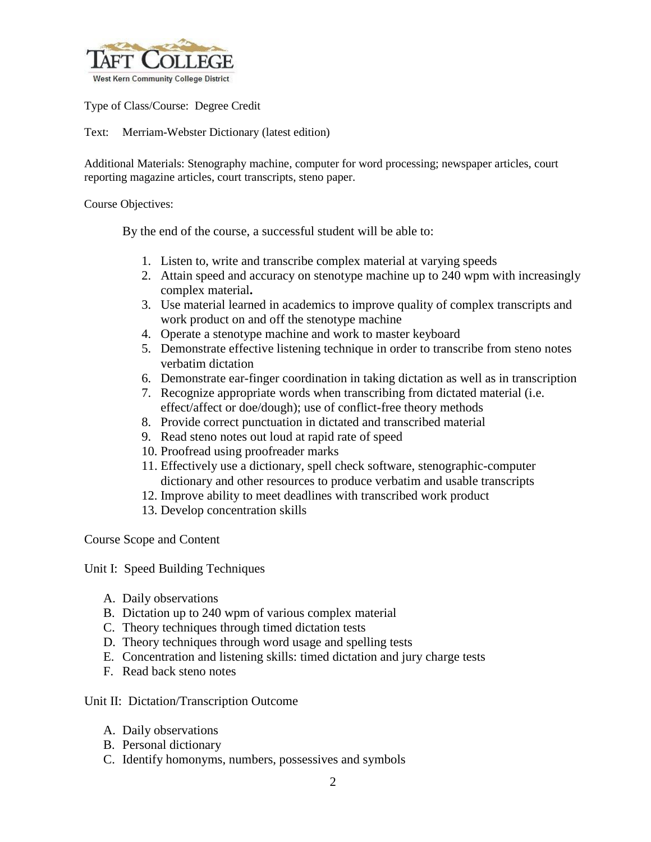

Type of Class/Course: Degree Credit

Text: Merriam-Webster Dictionary (latest edition)

Additional Materials: Stenography machine, computer for word processing; newspaper articles, court reporting magazine articles, court transcripts, steno paper.

Course Objectives:

By the end of the course, a successful student will be able to:

- 1. Listen to, write and transcribe complex material at varying speeds
- 2. Attain speed and accuracy on stenotype machine up to 240 wpm with increasingly complex material**.**
- 3. Use material learned in academics to improve quality of complex transcripts and work product on and off the stenotype machine
- 4. Operate a stenotype machine and work to master keyboard
- 5. Demonstrate effective listening technique in order to transcribe from steno notes verbatim dictation
- 6. Demonstrate ear-finger coordination in taking dictation as well as in transcription
- 7. Recognize appropriate words when transcribing from dictated material (i.e. effect/affect or doe/dough); use of conflict-free theory methods
- 8. Provide correct punctuation in dictated and transcribed material
- 9. Read steno notes out loud at rapid rate of speed
- 10. Proofread using proofreader marks
- 11. Effectively use a dictionary, spell check software, stenographic-computer dictionary and other resources to produce verbatim and usable transcripts
- 12. Improve ability to meet deadlines with transcribed work product
- 13. Develop concentration skills

Course Scope and Content

Unit I: Speed Building Techniques

- A. Daily observations
- B. Dictation up to 240 wpm of various complex material
- C. Theory techniques through timed dictation tests
- D. Theory techniques through word usage and spelling tests
- E. Concentration and listening skills: timed dictation and jury charge tests
- F. Read back steno notes

Unit II: Dictation/Transcription Outcome

- A. Daily observations
- B. Personal dictionary
- C. Identify homonyms, numbers, possessives and symbols